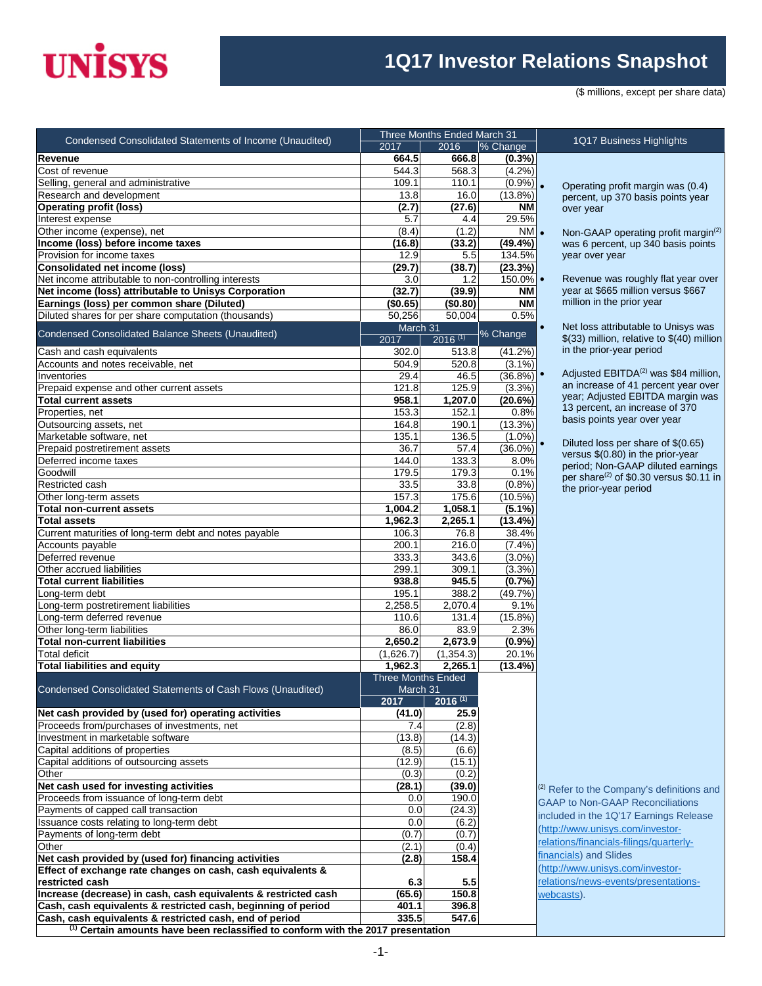## **UNISYS**

## **1Q17 Investor Relations Snapshot**

(\$ millions, except per share data)

| Condensed Consolidated Statements of Income (Unaudited)                                     |                                       | Three Months Ended March 31 |                     | 1Q17 Business Highlights                                   |
|---------------------------------------------------------------------------------------------|---------------------------------------|-----------------------------|---------------------|------------------------------------------------------------|
|                                                                                             | 2017                                  | 2016                        | % Change            |                                                            |
| Revenue                                                                                     | 664.5                                 | 666.8                       | $(0.3\%)$           |                                                            |
| Cost of revenue                                                                             | $\overline{544.3}$                    | 568.3                       | (4.2%)              |                                                            |
| Selling, general and administrative                                                         | 109.1                                 | 110.1                       | $(0.9\%)$ .         | Operating profit margin was                                |
| Research and development                                                                    | 13.8                                  | 16.0                        | (13.8%)             | percent, up 370 basis points                               |
| <b>Operating profit (loss)</b><br>Interest expense                                          | (2.7)<br>5.7                          | (27.6)<br>4.4               | NΜ<br>29.5%         | over year                                                  |
| Other income (expense), net                                                                 | (8.4)                                 | (1.2)                       | $N M$ .             |                                                            |
| Income (loss) before income taxes                                                           | (16.8)                                | (33.2)                      | $(49.4\%)$          | Non-GAAP operating profit r<br>was 6 percent, up 340 basis |
| Provision for income taxes                                                                  | 12.9                                  | 5.5                         | 134.5%              | year over year                                             |
| <b>Consolidated net income (loss)</b>                                                       | (29.7)                                | (38.7)                      | (23.3%)             |                                                            |
| Net income attributable to non-controlling interests                                        | 3.0                                   | 1.2                         | $150.0\%$ $\bullet$ | Revenue was roughly flat ye                                |
| Net income (loss) attributable to Unisys Corporation                                        | (32.7)                                | (39.9)                      | <b>NM</b>           | year at \$665 million versus \$                            |
| Earnings (loss) per common share (Diluted)                                                  | (\$0.65)                              | (\$0.80)                    | <b>NM</b>           | million in the prior year                                  |
| Diluted shares for per share computation (thousands)                                        | 50,256                                | 50,004                      | 0.5%                |                                                            |
| Condensed Consolidated Balance Sheets (Unaudited)                                           | March 31                              |                             | % Change            | Net loss attributable to Unisy<br>$\bullet$                |
|                                                                                             | 2017                                  | $2016^{(1)}$                |                     | \$(33) million, relative to \$(40                          |
| Cash and cash equivalents                                                                   | 302.0                                 | 513.8                       | (41.2%)             | in the prior-year period                                   |
| Accounts and notes receivable, net                                                          | 504.9                                 | 520.8                       | $(3.1\%)$           | Adiusted EBITDA <sup>(2)</sup> was \$84                    |
| Inventories                                                                                 | 29.4                                  | 46.5                        | $(36.8\%)$          | an increase of 41 percent ye                               |
| Prepaid expense and other current assets                                                    | 121.8                                 | 125.9                       | (3.3%)              | year; Adjusted EBITDA marg                                 |
| <b>Total current assets</b>                                                                 | 958.1                                 | 1,207.0                     | (20.6%)             | 13 percent, an increase of 3                               |
| Properties, net                                                                             | 153.3                                 | 152.1                       | 0.8%                | basis points year over year                                |
| Outsourcing assets, net                                                                     | 164.8                                 | 190.1                       | (13.3%)             |                                                            |
| Marketable software, net<br>Prepaid postretirement assets                                   | 135.1                                 | 136.5                       | $(1.0\%)$           | Diluted loss per share of \$(0                             |
| Deferred income taxes                                                                       | 36.7<br>144.0                         | 57.4<br>133.3               | $(36.0\%)$<br>8.0%  | versus \$(0.80) in the prior-ye                            |
| Goodwill                                                                                    | 179.5                                 | 179.3                       | 0.1%                | period; Non-GAAP diluted ea                                |
| Restricted cash                                                                             | 33.5                                  | 33.8                        | (0.8%)              | per share <sup>(2)</sup> of \$0.30 versus                  |
| Other long-term assets                                                                      | 157.3                                 | 175.6                       | $(10.5\%)$          | the prior-year period                                      |
| Total non-current assets                                                                    | 1,004.2                               | 1,058.1                     | $(5.1\%)$           |                                                            |
| <b>Total assets</b>                                                                         | 1,962.3                               | 2,265.1                     | $(13.4\%)$          |                                                            |
| Current maturities of long-term debt and notes payable                                      | 106.3                                 | 76.8                        | 38.4%               |                                                            |
| Accounts payable                                                                            | 200.1                                 | 216.0                       | (7.4%)              |                                                            |
| Deferred revenue                                                                            | 333.3                                 | 343.6                       | $(3.0\%)$           |                                                            |
| Other accrued liabilities                                                                   | 299.1                                 | 309.1                       | (3.3%)              |                                                            |
| <b>Total current liabilities</b>                                                            | 938.8                                 | 945.5                       | (0.7%               |                                                            |
| Long-term debt                                                                              | 195.1                                 | 388.2                       | (49.7%)             |                                                            |
| Long-term postretirement liabilities                                                        | 2,258.5                               | 2,070.4                     | 9.1%                |                                                            |
| Long-term deferred revenue                                                                  | 110.6                                 | 131.4                       | $(15.8\%)$          |                                                            |
| Other long-term liabilities                                                                 | 86.0                                  | 83.9                        | 2.3%                |                                                            |
| <b>Total non-current liabilities</b>                                                        | 2,650.2                               | 2,673.9                     | (0.9%               |                                                            |
| Total deficit                                                                               | (1,626.7)                             | (1, 354.3)                  | 20.1%               |                                                            |
| <b>Total liabilities and equity</b>                                                         | 1,962.3                               | 2.265.1                     | (13.4%)             |                                                            |
|                                                                                             | <b>Three Months Ended</b><br>March 31 |                             |                     |                                                            |
| Condensed Consolidated Statements of Cash Flows (Unaudited)                                 | 2017                                  | $2016^{(1)}$                |                     |                                                            |
| Net cash provided by (used for) operating activities                                        | (41.0)                                | 25.9                        |                     |                                                            |
| Proceeds from/purchases of investments, net                                                 | 7.4                                   | (2.8)                       |                     |                                                            |
| Investment in marketable software                                                           | (13.8)                                | (14.3)                      |                     |                                                            |
| Capital additions of properties                                                             | (8.5)                                 | (6.6)                       |                     |                                                            |
| Capital additions of outsourcing assets                                                     | (12.9)                                | (15.1)                      |                     |                                                            |
| Other                                                                                       | (0.3)                                 | (0.2)                       |                     |                                                            |
| Net cash used for investing activities                                                      | (28.1)                                | (39.0)                      |                     | <sup>(2)</sup> Refer to the Company's definition           |
| Proceeds from issuance of long-term debt                                                    | 0.0                                   | 190.0                       |                     | <b>GAAP to Non-GAAP Reconciliatio</b>                      |
| Payments of capped call transaction                                                         | 0.0                                   | (24.3)                      |                     | included in the 1Q'17 Earnings Re                          |
| Issuance costs relating to long-term debt                                                   | 0.0                                   | (6.2)                       |                     |                                                            |
| Payments of long-term debt                                                                  | (0.7)                                 | (0.7)                       |                     | (http://www.unisys.com/investor-                           |
| Other                                                                                       | (2.1)                                 | (0.4)                       |                     | relations/financials-filings/quarterly                     |
| Net cash provided by (used for) financing activities                                        | (2.8)                                 | 158.4                       |                     | financials) and Slides                                     |
| Effect of exchange rate changes on cash, cash equivalents &                                 |                                       |                             |                     | (http://www.unisys.com/investor-                           |
| restricted cash                                                                             | 6.3                                   | 5.5                         |                     | relations/news-events/presentatio                          |
| Increase (decrease) in cash, cash equivalents & restricted cash                             | (65.6)                                | 150.8                       |                     | webcasts).                                                 |
| Cash, cash equivalents & restricted cash, beginning of period                               | 401.1                                 | 396.8                       |                     |                                                            |
| Cash, cash equivalents & restricted cash, end of period                                     | 335.5                                 | 547.6                       |                     |                                                            |
| <sup>(1)</sup> Certain amounts have been reclassified to conform with the 2017 presentation |                                       |                             |                     |                                                            |

• Non-GAAP operating profit margin(2) was 6 percent, up 340 basis points year over year Revenue was roughly flat year over year at \$665 million versus \$667 million in the prior year Net loss attributable to Unisys was \$(33) million, relative to \$(40) million in the prior-year period

• Operating profit margin was (0.4) percent, up 370 basis points year

Adjusted EBITDA<sup>(2)</sup> was \$84 million, an increase of 41 percent year over year; Adjusted EBITDA margin was 13 percent, an increase of 370 basis points year over year

• Diluted loss per share of \$(0.65) versus \$(0.80) in the prior-year period; Non-GAAP diluted earnings per share $(2)$  of \$0.30 versus \$0.11 in the prior-year period

<sup>2)</sup> Refer to the Company's definitions and GAAP to Non-GAAP Reconciliations ncluded in the 1Q'17 Earnings Release http://www.unisys.com/investorelations/financials-filings/quarterlyinancials) and Slides http://www.unisys.com/investorelations/news-events/presentations[webcasts\)](http://www.unisys.com/investor-relations/news-events/presentations-webcasts).